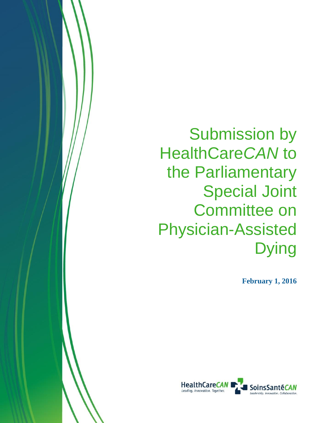Submission by HealthCare*CAN* to the Parliamentary Special Joint Committee on Physician-Assisted **Dying** 

Submission by HealthCare*CAN* to the Special Joint Committee on Physician-Assisted Dying

**February 1, 2016**

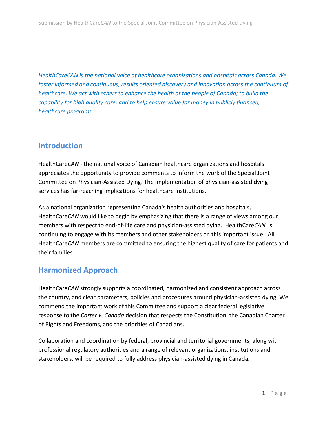*HealthCareCAN is the national voice of healthcare organizations and hospitals across Canada. We foster informed and continuous, results oriented discovery and innovation across the continuum of healthcare. We act with others to enhance the health of the people of Canada; to build the capability for high quality care; and to help ensure value for money in publicly financed, healthcare programs*.

#### **Introduction**

HealthCare*CAN* - the national voice of Canadian healthcare organizations and hospitals – appreciates the opportunity to provide comments to inform the work of the Special Joint Committee on Physician-Assisted Dying. The implementation of physician-assisted dying services has far-reaching implications for healthcare institutions.

As a national organization representing Canada's health authorities and hospitals, HealthCare*CAN* would like to begin by emphasizing that there is a range of views among our members with respect to end-of-life care and physician-assisted dying. HealthCare*CAN* is continuing to engage with its members and other stakeholders on this important issue. All HealthCare*CAN* members are committed to ensuring the highest quality of care for patients and their families.

#### **Harmonized Approach**

HealthCare*CAN* strongly supports a coordinated, harmonized and consistent approach across the country, and clear parameters, policies and procedures around physician-assisted dying. We commend the important work of this Committee and support a clear federal legislative response to the *Carter v. Canada* decision that respects the Constitution, the Canadian Charter of Rights and Freedoms, and the priorities of Canadians.

Collaboration and coordination by federal, provincial and territorial governments, along with professional regulatory authorities and a range of relevant organizations, institutions and stakeholders, will be required to fully address physician-assisted dying in Canada.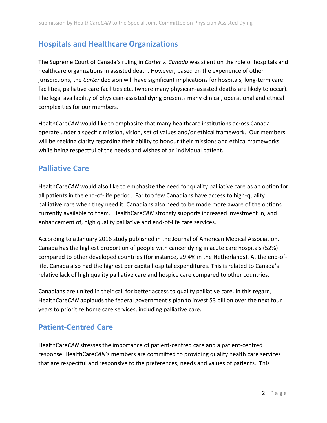# **Hospitals and Healthcare Organizations**

The Supreme Court of Canada's ruling in *Carter v. Canada* was silent on the role of hospitals and healthcare organizations in assisted death. However, based on the experience of other jurisdictions, the *Carter* decision will have significant implications for hospitals, long-term care facilities, palliative care facilities etc. (where many physician-assisted deaths are likely to occur). The legal availability of physician-assisted dying presents many clinical, operational and ethical complexities for our members.

HealthCare*CAN* would like to emphasize that many healthcare institutions across Canada operate under a specific mission, vision, set of values and/or ethical framework. Our members will be seeking clarity regarding their ability to honour their missions and ethical frameworks while being respectful of the needs and wishes of an individual patient.

#### **Palliative Care**

HealthCare*CAN* would also like to emphasize the need for quality palliative care as an option for all patients in the end-of-life period. Far too few Canadians have access to high-quality palliative care when they need it. Canadians also need to be made more aware of the options currently available to them. HealthCare*CAN* strongly supports increased investment in, and enhancement of, high quality palliative and end-of-life care services.

According to a January 2016 study published in the Journal of American Medical Association, Canada has the highest proportion of people with cancer dying in acute care hospitals (52%) compared to other developed countries (for instance, 29.4% in the Netherlands). At the end-oflife, Canada also had the highest per capita hospital expenditures. This is related to Canada's relative lack of high quality palliative care and hospice care compared to other countries.

Canadians are united in their call for better access to quality palliative care. In this regard, HealthCare*CAN* applauds the federal government's plan to invest \$3 billion over the next four years to prioritize home care services, including palliative care.

## **Patient-Centred Care**

HealthCare*CAN* stresses the importance of patient-centred care and a patient-centred response. HealthCare*CAN*'s members are committed to providing quality health care services that are respectful and responsive to the preferences, needs and values of patients. This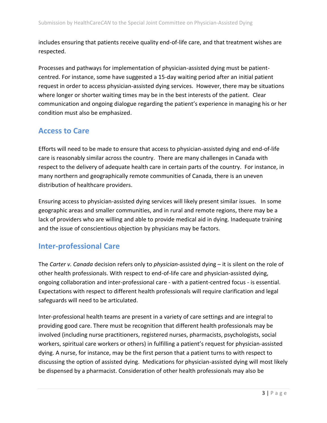includes ensuring that patients receive quality end-of-life care, and that treatment wishes are respected.

Processes and pathways for implementation of physician-assisted dying must be patientcentred. For instance, some have suggested a 15-day waiting period after an initial patient request in order to access physician-assisted dying services. However, there may be situations where longer or shorter waiting times may be in the best interests of the patient. Clear communication and ongoing dialogue regarding the patient's experience in managing his or her condition must also be emphasized.

## **Access to Care**

Efforts will need to be made to ensure that access to physician-assisted dying and end-of-life care is reasonably similar across the country. There are many challenges in Canada with respect to the delivery of adequate health care in certain parts of the country. For instance, in many northern and geographically remote communities of Canada, there is an uneven distribution of healthcare providers.

Ensuring access to physician-assisted dying services will likely present similar issues. In some geographic areas and smaller communities, and in rural and remote regions, there may be a lack of providers who are willing and able to provide medical aid in dying. Inadequate training and the issue of conscientious objection by physicians may be factors.

## **Inter-professional Care**

The *Carter v. Canada* decision refers only to *physician*-assisted dying – it is silent on the role of other health professionals. With respect to end-of-life care and physician-assisted dying, ongoing collaboration and inter-professional care - with a patient-centred focus - is essential. Expectations with respect to different health professionals will require clarification and legal safeguards will need to be articulated.

Inter-professional health teams are present in a variety of care settings and are integral to providing good care. There must be recognition that different health professionals may be involved (including nurse practitioners, registered nurses, pharmacists, psychologists, social workers, spiritual care workers or others) in fulfilling a patient's request for physician-assisted dying. A nurse, for instance, may be the first person that a patient turns to with respect to discussing the option of assisted dying. Medications for physician-assisted dying will most likely be dispensed by a pharmacist. Consideration of other health professionals may also be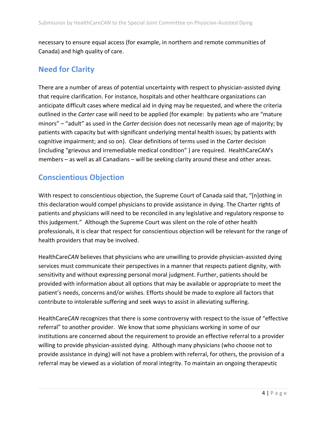necessary to ensure equal access (for example, in northern and remote communities of Canada) and high quality of care.

#### **Need for Clarity**

There are a number of areas of potential uncertainty with respect to physician-assisted dying that require clarification. For instance, hospitals and other healthcare organizations can anticipate difficult cases where medical aid in dying may be requested, and where the criteria outlined in the *Carter* case will need to be applied (for example: by patients who are "mature minors" – "adult" as used in the *Carter* decision does not necessarily mean age of majority; by patients with capacity but with significant underlying mental health issues; by patients with cognitive impairment; and so on). Clear definitions of terms used in the *Carter* decision (including "grievous and irremediable medical condition" ) are required. HealthCare*CAN*'s members – as well as all Canadians – will be seeking clarity around these and other areas.

## **Conscientious Objection**

With respect to conscientious objection, the Supreme Court of Canada said that, "[n]othing in this declaration would compel physicians to provide assistance in dying. The Charter rights of patients and physicians will need to be reconciled in any legislative and regulatory response to this judgement." Although the Supreme Court was silent on the role of other health professionals, it is clear that respect for conscientious objection will be relevant for the range of health providers that may be involved.

HealthCare*CAN* believes that physicians who are unwilling to provide physician-assisted dying services must communicate their perspectives in a manner that respects patient dignity, with sensitivity and without expressing personal moral judgment. Further, patients should be provided with information about all options that may be available or appropriate to meet the patient's needs, concerns and/or wishes. Efforts should be made to explore all factors that contribute to intolerable suffering and seek ways to assist in alleviating suffering.

HealthCare*CAN* recognizes that there is some controversy with respect to the issue of "effective referral" to another provider. We know that some physicians working in some of our institutions are concerned about the requirement to provide an effective referral to a provider willing to provide physician-assisted dying. Although many physicians (who choose not to provide assistance in dying) will not have a problem with referral, for others, the provision of a referral may be viewed as a violation of moral integrity. To maintain an ongoing therapeutic